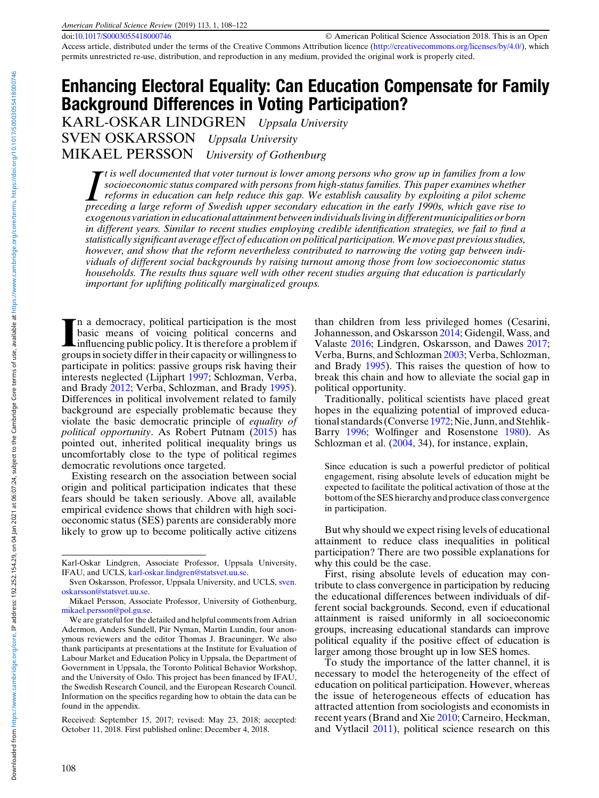Access article, distributed under the terms of the Creative Commons Attribution licence [\(http://creativecommons.org/licenses/by/4.0/](http://creativecommons.org/licenses/by/4.0/)), which permits unrestricted re-use, distribution, and reproduction in any medium, provided the original work is properly cited.

# Enhancing Electoral Equality: Can Education Compensate for Family Background Differences in Voting Participation?

KARL-OSKAR LINDGREN Uppsala University SVEN OSKARSSON Uppsala University MIKAEL PERSSON University of Gothenburg

If is well documented that voter turnout is lower among persons who grow up in families from a low<br>socioeconomic status compared with persons from high-status families. This paper examines whether<br>reforms in education can  $\mathbf{T}$ t is well documented that voter turnout is lower among persons who grow up in families from a low socioeconomic status compared with persons from high-status families. This paper examines whether **the reforms in education can help reduce this gap. We establish causality by exploiting a pilot scheme** exogenous variation in educational attainment between individuals living in different municipalities or born in different years. Similar to recent studies employing credible identification strategies, we fail to find a statistically significant average effect of education on political participation. We move past previous studies, however, and show that the reform nevertheless contributed to narrowing the voting gap between individuals of different social backgrounds by raising turnout among those from low socioeconomic status households. The results thus square well with other recent studies arguing that education is particularly important for uplifting politically marginalized groups.

In a democracy, political participation is the most<br>basic means of voicing political concerns and<br>influencing public policy. It is therefore a problem if<br>groups in society differ in their capacity or willingness to n a democracy, political participation is the most basic means of voicing political concerns and influencing public policy. It is therefore a problem if participate in politics: passive groups risk having their interests neglected (Lijphart [1997;](#page-14-0) Schlozman, Verba, and Brady [2012](#page-14-0); Verba, Schlozman, and Brady [1995\)](#page-14-0). Differences in political involvement related to family background are especially problematic because they violate the basic democratic principle of equality of political opportunity. As Robert Putnam [\(2015](#page-14-0)) has pointed out, inherited political inequality brings us uncomfortably close to the type of political regimes democratic revolutions once targeted.

Existing research on the association between social origin and political participation indicates that these fears should be taken seriously. Above all, available empirical evidence shows that children with high socioeconomic status (SES) parents are considerably more likely to grow up to become politically active citizens

than children from less privileged homes (Cesarini, Johannesson, and Oskarsson [2014](#page-14-0); Gidengil, Wass, and Valaste [2016;](#page-14-0) Lindgren, Oskarsson, and Dawes [2017;](#page-14-0) Verba, Burns, and Schlozman [2003](#page-14-0); Verba, Schlozman, and Brady [1995](#page-14-0)). This raises the question of how to break this chain and how to alleviate the social gap in political opportunity.

Traditionally, political scientists have placed great hopes in the equalizing potential of improved educational standards (Converse [1972;](#page-14-0) Nie, Junn, and Stehlik-Barry [1996](#page-14-0); Wolfinger and Rosenstone [1980](#page-14-0)). As Schlozman et al. [\(2004](#page-14-0), 34), for instance, explain,

Since education is such a powerful predictor of political engagement, rising absolute levels of education might be expected to facilitate the political activation of those at the bottom of the SES hierarchy and produce class convergence in participation.

But why should we expect rising levels of educational attainment to reduce class inequalities in political participation? There are two possible explanations for why this could be the case.

First, rising absolute levels of education may contribute to class convergence in participation by reducing the educational differences between individuals of different social backgrounds. Second, even if educational attainment is raised uniformly in all socioeconomic groups, increasing educational standards can improve political equality if the positive effect of education is larger among those brought up in low SES homes.

To study the importance of the latter channel, it is necessary to model the heterogeneity of the effect of education on political participation. However, whereas the issue of heterogeneous effects of education has attracted attention from sociologists and economists in recent years (Brand and Xie [2010](#page-14-0); Carneiro, Heckman, and Vytlacil [2011\)](#page-14-0), political science research on this

Karl-Oskar Lindgren, Associate Professor, Uppsala University, IFAU, and UCLS, [karl-oskar.lindgren@statsvet.uu.se.](mailto:karl-oskar.lindgren@statsvet.uu.se)

Sven Oskarsson, Professor, Uppsala University, and UCLS, [sven.](mailto:sven.oskarsson@statsvet.uu.se) [oskarsson@statsvet.uu.se.](mailto:sven.oskarsson@statsvet.uu.se)

Mikael Persson, Associate Professor, University of Gothenburg, [mikael.persson@pol.gu.se](mailto:mikael.persson@pol.gu.se).

We are grateful for the detailed and helpful comments from Adrian Adermon, Anders Sundell, Pär Nyman, Martin Lundin, four anonymous reviewers and the editor Thomas J. Braeuninger. We also thank participants at presentations at the Institute for Evaluation of Labour Market and Education Policy in Uppsala, the Department of Government in Uppsala, the Toronto Political Behavior Workshop, and the University of Oslo. This project has been financed by IFAU, the Swedish Research Council, and the European Research Council. Information on the specifics regarding how to obtain the data can be found in the appendix.

Received: September 15, 2017; revised: May 23, 2018; accepted: October 11, 2018. First published online: December 4, 2018.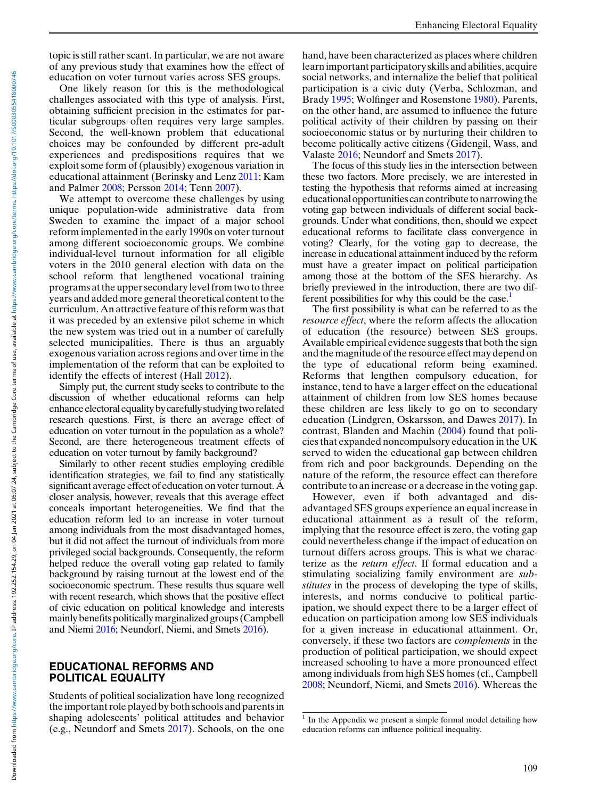topic is still rather scant. In particular, we are not aware of any previous study that examines how the effect of education on voter turnout varies across SES groups.

One likely reason for this is the methodological challenges associated with this type of analysis. First, obtaining sufficient precision in the estimates for particular subgroups often requires very large samples. Second, the well-known problem that educational choices may be confounded by different pre-adult experiences and predispositions requires that we exploit some form of (plausibly) exogenous variation in educational attainment (Berinsky and Lenz [2011](#page-13-0); Kam and Palmer [2008](#page-14-0); Persson [2014;](#page-14-0) Tenn [2007](#page-14-0)).

We attempt to overcome these challenges by using unique population-wide administrative data from Sweden to examine the impact of a major school reform implemented in the early 1990s on voter turnout among different socioeconomic groups. We combine individual-level turnout information for all eligible voters in the 2010 general election with data on the school reform that lengthened vocational training programs at the upper secondary level from two to three years and added more general theoretical content to the curriculum. An attractive feature of this reform was that it was preceded by an extensive pilot scheme in which the new system was tried out in a number of carefully selected municipalities. There is thus an arguably exogenous variation across regions and over time in the implementation of the reform that can be exploited to identify the effects of interest (Hall [2012](#page-14-0)).

Simply put, the current study seeks to contribute to the discussion of whether educational reforms can help enhance electoral equality by carefully studying two related research questions. First, is there an average effect of education on voter turnout in the population as a whole? Second, are there heterogeneous treatment effects of education on voter turnout by family background?

Similarly to other recent studies employing credible identification strategies, we fail to find any statistically significant average effect of education on voter turnout. A closer analysis, however, reveals that this average effect conceals important heterogeneities. We find that the education reform led to an increase in voter turnout among individuals from the most disadvantaged homes, but it did not affect the turnout of individuals from more privileged social backgrounds. Consequently, the reform helped reduce the overall voting gap related to family background by raising turnout at the lowest end of the socioeconomic spectrum. These results thus square well with recent research, which shows that the positive effect of civic education on political knowledge and interests mainly benefits politicallymarginalized groups (Campbell and Niemi [2016](#page-14-0); Neundorf, Niemi, and Smets [2016](#page-14-0)).

#### EDUCATIONAL REFORMS AND POLITICAL EQUALITY

Students of political socialization have long recognized the important role played by both schools and parents in shaping adolescents' political attitudes and behavior (e.g., Neundorf and Smets [2017\)](#page-14-0). Schools, on the one hand, have been characterized as places where children learn important participatory skills and abilities, acquire social networks, and internalize the belief that political participation is a civic duty (Verba, Schlozman, and Brady [1995;](#page-14-0) Wolfinger and Rosenstone [1980\)](#page-14-0). Parents, on the other hand, are assumed to influence the future political activity of their children by passing on their socioeconomic status or by nurturing their children to become politically active citizens (Gidengil, Wass, and Valaste [2016](#page-14-0); Neundorf and Smets [2017](#page-14-0)).

The focus of this study lies in the intersection between these two factors. More precisely, we are interested in testing the hypothesis that reforms aimed at increasing educational opportunities can contribute to narrowing the voting gap between individuals of different social backgrounds. Under what conditions, then, should we expect educational reforms to facilitate class convergence in voting? Clearly, for the voting gap to decrease, the increase in educational attainment induced by the reform must have a greater impact on political participation among those at the bottom of the SES hierarchy. As briefly previewed in the introduction, there are two different possibilities for why this could be the case.<sup>1</sup>

The first possibility is what can be referred to as the resource effect, where the reform affects the allocation of education (the resource) between SES groups. Available empirical evidence suggests that both the sign and the magnitude of the resource effect may depend on the type of educational reform being examined. Reforms that lengthen compulsory education, for instance, tend to have a larger effect on the educational attainment of children from low SES homes because these children are less likely to go on to secondary education (Lindgren, Oskarsson, and Dawes [2017\)](#page-14-0). In contrast, Blanden and Machin ([2004\)](#page-14-0) found that policies that expanded noncompulsory education in the UK served to widen the educational gap between children from rich and poor backgrounds. Depending on the nature of the reform, the resource effect can therefore contribute to an increase or a decrease in the voting gap.

However, even if both advantaged and disadvantaged SES groups experience an equal increase in educational attainment as a result of the reform, implying that the resource effect is zero, the voting gap could nevertheless change if the impact of education on turnout differs across groups. This is what we characterize as the return effect. If formal education and a stimulating socializing family environment are substitutes in the process of developing the type of skills, interests, and norms conducive to political participation, we should expect there to be a larger effect of education on participation among low SES individuals for a given increase in educational attainment. Or, conversely, if these two factors are complements in the production of political participation, we should expect increased schooling to have a more pronounced effect among individuals from high SES homes (cf., Campbell [2008;](#page-14-0) Neundorf, Niemi, and Smets [2016\)](#page-14-0). Whereas the

<sup>&</sup>lt;sup>1</sup> In the Appendix we present a simple formal model detailing how education reforms can influence political inequality.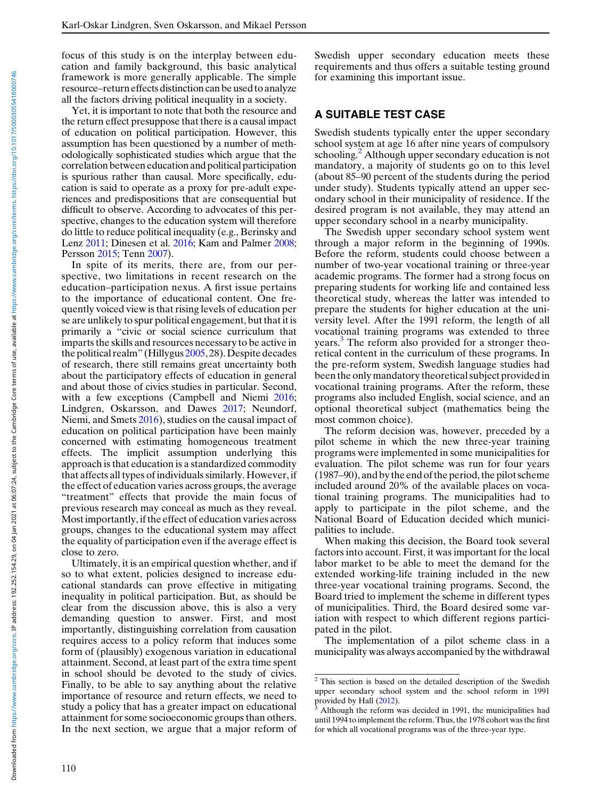focus of this study is on the interplay between education and family background, this basic analytical framework is more generally applicable. The simple resource–return effects distinction can be used to analyze all the factors driving political inequality in a society.

Yet, it is important to note that both the resource and the return effect presuppose that there is a causal impact of education on political participation. However, this assumption has been questioned by a number of methodologically sophisticated studies which argue that the correlation between education and political participation is spurious rather than causal. More specifically, education is said to operate as a proxy for pre-adult experiences and predispositions that are consequential but difficult to observe. According to advocates of this perspective, changes to the education system will therefore do little to reduce political inequality (e.g., Berinsky and Lenz [2011;](#page-13-0) Dinesen et al. [2016](#page-14-0); Kam and Palmer [2008;](#page-14-0) Persson [2015](#page-14-0); Tenn [2007](#page-14-0)).

In spite of its merits, there are, from our perspective, two limitations in recent research on the education–participation nexus. A first issue pertains to the importance of educational content. One frequently voiced view is that rising levels of education per se are unlikely to spur political engagement, but that it is primarily a "civic or social science curriculum that imparts the skills and resources necessary to be active in the political realm" (Hillygus [2005,](#page-14-0) 28). Despite decades of research, there still remains great uncertainty both about the participatory effects of education in general and about those of civics studies in particular. Second, with a few exceptions (Campbell and Niemi [2016;](#page-14-0) Lindgren, Oskarsson, and Dawes [2017](#page-14-0); Neundorf, Niemi, and Smets [2016](#page-14-0)), studies on the causal impact of education on political participation have been mainly concerned with estimating homogeneous treatment effects. The implicit assumption underlying this approach is that education is a standardized commodity that affects all types of individuals similarly. However, if the effect of education varies across groups, the average "treatment" effects that provide the main focus of previous research may conceal as much as they reveal. Most importantly, if the effect of education varies across groups, changes to the educational system may affect the equality of participation even if the average effect is close to zero.

Ultimately, it is an empirical question whether, and if so to what extent, policies designed to increase educational standards can prove effective in mitigating inequality in political participation. But, as should be clear from the discussion above, this is also a very demanding question to answer. First, and most importantly, distinguishing correlation from causation requires access to a policy reform that induces some form of (plausibly) exogenous variation in educational attainment. Second, at least part of the extra time spent in school should be devoted to the study of civics. Finally, to be able to say anything about the relative importance of resource and return effects, we need to study a policy that has a greater impact on educational attainment for some socioeconomic groups than others. In the next section, we argue that a major reform of Swedish upper secondary education meets these requirements and thus offers a suitable testing ground for examining this important issue.

## A SUITABLE TEST CASE

Swedish students typically enter the upper secondary school system at age 16 after nine years of compulsory schooling.<sup>2</sup> Although upper secondary education is not mandatory, a majority of students go on to this level (about 85–90 percent of the students during the period under study). Students typically attend an upper secondary school in their municipality of residence. If the desired program is not available, they may attend an upper secondary school in a nearby municipality.

The Swedish upper secondary school system went through a major reform in the beginning of 1990s. Before the reform, students could choose between a number of two-year vocational training or three-year academic programs. The former had a strong focus on preparing students for working life and contained less theoretical study, whereas the latter was intended to prepare the students for higher education at the university level. After the 1991 reform, the length of all vocational training programs was extended to three years.<sup>3</sup> The reform also provided for a stronger theoretical content in the curriculum of these programs. In the pre-reform system, Swedish language studies had been the only mandatory theoretical subject provided in vocational training programs. After the reform, these programs also included English, social science, and an optional theoretical subject (mathematics being the most common choice).

The reform decision was, however, preceded by a pilot scheme in which the new three-year training programs were implemented in some municipalities for evaluation. The pilot scheme was run for four years (1987–90), and by the end of the period, the pilot scheme included around 20% of the available places on vocational training programs. The municipalities had to apply to participate in the pilot scheme, and the National Board of Education decided which municipalities to include.

When making this decision, the Board took several factors into account. First, it was important for the local labor market to be able to meet the demand for the extended working-life training included in the new three-year vocational training programs. Second, the Board tried to implement the scheme in different types of municipalities. Third, the Board desired some variation with respect to which different regions participated in the pilot.

The implementation of a pilot scheme class in a municipality was always accompanied by the withdrawal

 $2$  This section is based on the detailed description of the Swedish upper secondary school system and the school reform in 1991 provided by Hall ([2012\)](#page-14-0).  $3$  Although the reform was decided in 1991, the municipalities had

until 1994 to implement the reform. Thus, the 1978 cohort was the first for which all vocational programs was of the three-year type.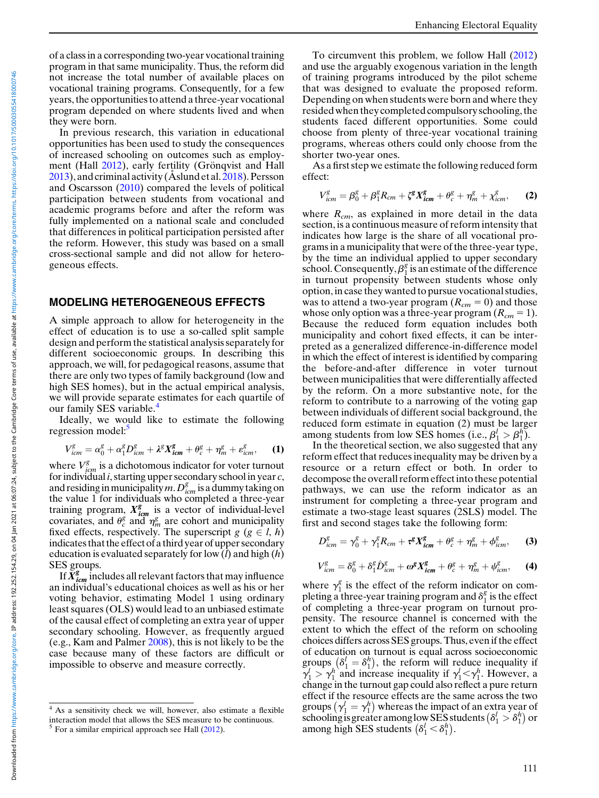of a class in a corresponding two-year vocational training program in that same municipality. Thus, the reform did not increase the total number of available places on vocational training programs. Consequently, for a few years, the opportunities to attend a three-year vocational program depended on where students lived and when they were born.

In previous research, this variation in educational opportunities has been used to study the consequences of increased schooling on outcomes such as employ-ment (Hall [2012](#page-14-0)), early fertility (Grönqvist and Hall [2013\)](#page-14-0), and criminal activity (Aslund et al.  $2018$ ). Persson and Oscarsson ([2010\)](#page-14-0) compared the levels of political participation between students from vocational and academic programs before and after the reform was fully implemented on a national scale and concluded that differences in political participation persisted after the reform. However, this study was based on a small cross-sectional sample and did not allow for heterogeneous effects.

#### MODELING HETEROGENEOUS EFFECTS

A simple approach to allow for heterogeneity in the effect of education is to use a so-called split sample design and perform the statistical analysis separately for different socioeconomic groups. In describing this approach, we will, for pedagogical reasons, assume that there are only two types of family background (low and high SES homes), but in the actual empirical analysis, we will provide separate estimates for each quartile of our family SES variable.

Ideally, we would like to estimate the following regression model:<sup>5</sup>

$$
V_{icm}^g = \alpha_0^g + \alpha_1^g D_{icm}^g + \lambda^g X_{icm}^g + \theta_c^g + \eta_m^g + \varepsilon_{icm}^g,
$$
 (1)

where  $V_{icm}^g$  is a dichotomous indicator for voter turnout for individual i, starting upper secondary school in year  $c$ , and residing in municipality m.  $D_{icm}^g$  is a dummy taking on the value 1 for individuals who completed a three-year training program,  $X_{icm}^g$  is a vector of individual-level covariates, and  $\theta_c^g$  and  $\eta_m^g$  are cohort and municipality fixed effects, respectively. The superscript  $g$   $(g \in l, h)$ indicates that the effect of a third year of upper secondary education is evaluated separately for low  $(l)$  and high  $(h)$ SES groups.

If  $\bar{X}_{em}^g$  includes all relevant factors that may influence<br>individual's educational choices as well as his or her an individual's educational choices as well as his or her voting behavior, estimating Model 1 using ordinary least squares (OLS) would lead to an unbiased estimate of the causal effect of completing an extra year of upper secondary schooling. However, as frequently argued (e.g., Kam and Palmer [2008\)](#page-14-0), this is not likely to be the case because many of these factors are difficult or impossible to observe and measure correctly.

To circumvent this problem, we follow Hall [\(2012](#page-14-0)) and use the arguably exogenous variation in the length of training programs introduced by the pilot scheme that was designed to evaluate the proposed reform. Depending on when students were born and where they resided when they completed compulsory schooling, the students faced different opportunities. Some could choose from plenty of three-year vocational training programs, whereas others could only choose from the shorter two-year ones.

As a first step we estimate the following reduced form effect:

$$
V_{icm}^g = \beta_0^g + \beta_1^g R_{cm} + \zeta^g X_{icm}^g + \theta_c^g + \eta_m^g + \chi_{icm}^g,
$$
 (2)

where  $R_{cm}$ , as explained in more detail in the data section, is a continuous measure of reform intensity that indicates how large is the share of all vocational programs in a municipality that were of the three-year type, by the time an individual applied to upper secondary school. Consequently,  $\beta_1^g$  is an estimate of the difference in turnout propensity between students whose only option, in case they wanted to pursue vocational studies, was to attend a two-year program  $(R_{cm} = 0)$  and those whose only option was a three-year program  $(R_{cm} = 1)$ . Because the reduced form equation includes both municipality and cohort fixed effects, it can be interpreted as a generalized difference-in-difference model in which the effect of interest is identified by comparing the before-and-after difference in voter turnout between municipalities that were differentially affected by the reform. On a more substantive note, for the reform to contribute to a narrowing of the voting gap between individuals of different social background, the reduced form estimate in equation (2) must be larger among students from low SES homes (i.e.,  $\beta_1^l > \beta_1^h$ ).

In the theoretical section, we also suggested that any reform effect that reduces inequality may be driven by a resource or a return effect or both. In order to decompose the overall reform effect into these potential pathways, we can use the reform indicator as an instrument for completing a three-year program and estimate a two-stage least squares (2SLS) model. The first and second stages take the following form:

$$
D_{icm}^g = \gamma_0^g + \gamma_1^g R_{cm} + \tau^g X_{icm}^g + \theta_c^g + \eta_m^g + \phi_{icm}^g,
$$
 (3)

$$
V_{icm}^g = \delta_0^g + \delta_1^g \hat{D}_{icm}^g + \omega^g X_{icm}^g + \theta_c^g + \eta_m^g + \psi_{icm}^g,
$$
 (4)

where  $\gamma_1^g$  is the effect of the reform indicator on completing a three-year training program and  $\delta_1^g$  is the effect of completing a three-year program on turnout propensity. The resource channel is concerned with the extent to which the effect of the reform on schooling choices differs across SES groups. Thus, even if the effect of education on turnout is equal across socioeconomic groups  $\delta_1^l = \delta_1^h$ , the reform will reduce inequality if  $\gamma_1^l > \gamma_1^h$  and increase inequality if  $\gamma_1^l < \gamma_1^h$ . However, a change in the turnout gap could also reflect a pure return effect if the resource effects are the same across the two groups  $(\gamma_1^l = \gamma_1^h)$  whereas the impact of an extra year of schooling is greater among low SES students  $\left(\delta_1' > \delta_1' \right)$  or among high SES students  $(\delta_1^l < \delta_1^h)$ .

<sup>4</sup> As a sensitivity check we will, however, also estimate a flexible interaction model that allows the SES measure to be continuous.  $<sup>5</sup>$  For a similar empirical approach see Hall [\(2012](#page-14-0)).</sup>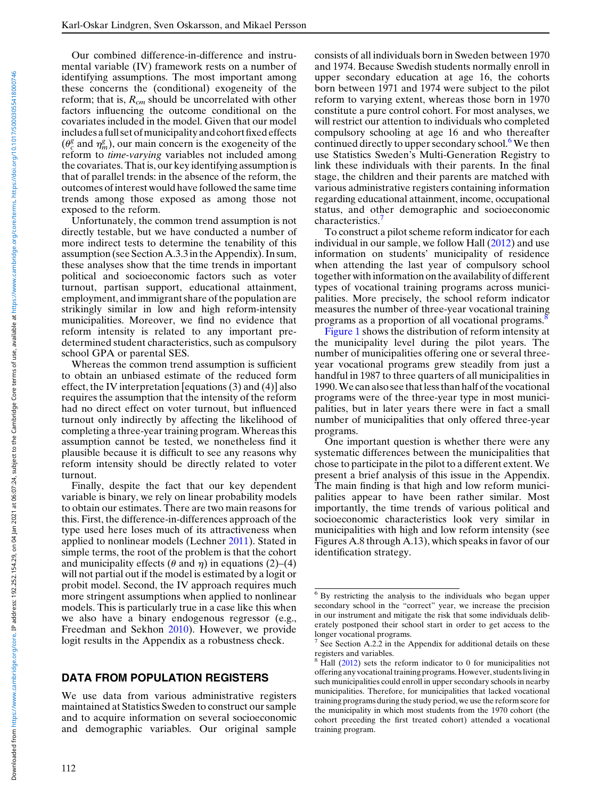Our combined difference-in-difference and instrumental variable (IV) framework rests on a number of identifying assumptions. The most important among these concerns the (conditional) exogeneity of the reform; that is,  $R_{cm}$  should be uncorrelated with other factors influencing the outcome conditional on the covariates included in the model. Given that our model includes a full set of municipality and cohort fixed effects  $(\theta_{\xi}^{g}$  and  $\eta_{m}^{g})$ , our main concern is the exogeneity of the reform to time-varying variables not included among the covariates. That is, our key identifying assumption is that of parallel trends: in the absence of the reform, the outcomes of interest would have followed the same time trends among those exposed as among those not exposed to the reform.

Unfortunately, the common trend assumption is not directly testable, but we have conducted a number of more indirect tests to determine the tenability of this assumption (see Section A.3.3 in the Appendix). In sum, these analyses show that the time trends in important political and socioeconomic factors such as voter turnout, partisan support, educational attainment, employment, and immigrant share of the population are strikingly similar in low and high reform-intensity municipalities. Moreover, we find no evidence that reform intensity is related to any important predetermined student characteristics, such as compulsory school GPA or parental SES.

Whereas the common trend assumption is sufficient to obtain an unbiased estimate of the reduced form effect, the IV interpretation [equations (3) and (4)] also requires the assumption that the intensity of the reform had no direct effect on voter turnout, but influenced turnout only indirectly by affecting the likelihood of completing a three-year training program.Whereas this assumption cannot be tested, we nonetheless find it plausible because it is difficult to see any reasons why reform intensity should be directly related to voter turnout.

Finally, despite the fact that our key dependent variable is binary, we rely on linear probability models to obtain our estimates. There are two main reasons for this. First, the difference-in-differences approach of the type used here loses much of its attractiveness when applied to nonlinear models (Lechner [2011\)](#page-14-0). Stated in simple terms, the root of the problem is that the cohort and municipality effects ( $\theta$  and  $\eta$ ) in equations (2)–(4) will not partial out if the model is estimated by a logit or probit model. Second, the IV approach requires much more stringent assumptions when applied to nonlinear models. This is particularly true in a case like this when we also have a binary endogenous regressor (e.g., Freedman and Sekhon 2010). However, we provide logit results in the Appendix as a robustness check.

## DATA FROM POPULATION REGISTERS

We use data from various administrative registers maintained at Statistics Sweden to construct our sample and to acquire information on several socioeconomic and demographic variables. Our original sample consists of all individuals born in Sweden between 1970 and 1974. Because Swedish students normally enroll in upper secondary education at age 16, the cohorts born between 1971 and 1974 were subject to the pilot reform to varying extent, whereas those born in 1970 constitute a pure control cohort. For most analyses, we will restrict our attention to individuals who completed compulsory schooling at age 16 and who thereafter continued directly to upper secondary school.<sup>6</sup> We then use Statistics Sweden's Multi-Generation Registry to link these individuals with their parents. In the final stage, the children and their parents are matched with various administrative registers containing information regarding educational attainment, income, occupational status, and other demographic and socioeconomic characteristics.<sup>7</sup>

To construct a pilot scheme reform indicator for each individual in our sample, we follow Hall  $(2012)$  $(2012)$  and use information on students' municipality of residence when attending the last year of compulsory school together with information on the availability of different types of vocational training programs across municipalities. More precisely, the school reform indicator measures the number of three-year vocational training programs as a proportion of all vocational programs.<sup>8</sup>

[Figure 1](#page-5-0) shows the distribution of reform intensity at the municipality level during the pilot years. The number of municipalities offering one or several threeyear vocational programs grew steadily from just a handful in 1987 to three quarters of all municipalities in 1990.We can also see that less than half of the vocational programs were of the three-year type in most municipalities, but in later years there were in fact a small number of municipalities that only offered three-year programs.

One important question is whether there were any systematic differences between the municipalities that chose to participate in the pilot to a different extent. We present a brief analysis of this issue in the Appendix. The main finding is that high and low reform municipalities appear to have been rather similar. Most importantly, the time trends of various political and socioeconomic characteristics look very similar in municipalities with high and low reform intensity (see Figures A.8 through A.13), which speaks in favor of our identification strategy.

<sup>&</sup>lt;sup>6</sup> By restricting the analysis to the individuals who began upper secondary school in the "correct" year, we increase the precision in our instrument and mitigate the risk that some individuals deliberately postponed their school start in order to get access to the longer vocational programs.

 $7$  See Section A.2.2 in the Appendix for additional details on these registers and variables.

 $8$  Hall ([2012\)](#page-14-0) sets the reform indicator to 0 for municipalities not offering any vocational training programs. However, students living in such municipalities could enroll in upper secondary schools in nearby municipalities. Therefore, for municipalities that lacked vocational training programs during the study period, we use the reform score for the municipality in which most students from the 1970 cohort (the cohort preceding the first treated cohort) attended a vocational training program.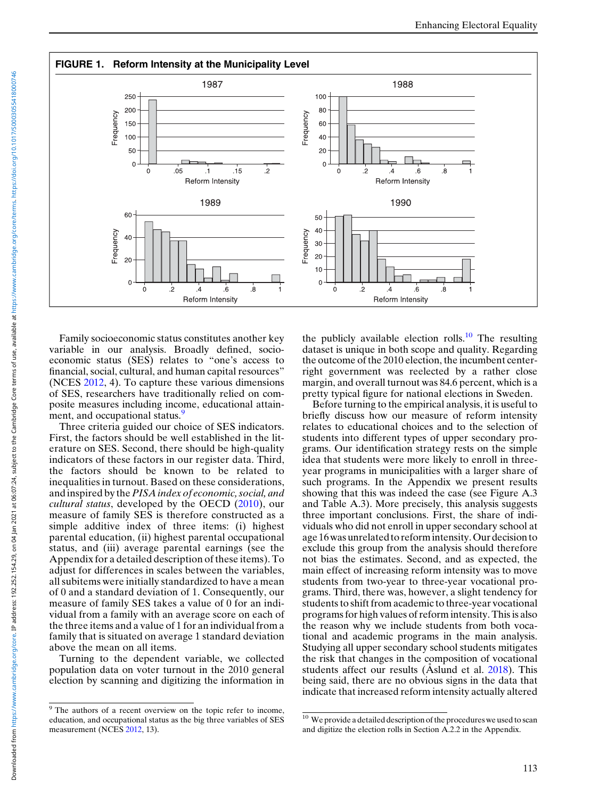<span id="page-5-0"></span>

Family socioeconomic status constitutes another key variable in our analysis. Broadly defined, socioeconomic status (SES) relates to "one's access to financial, social, cultural, and human capital resources" (NCES [2012](#page-14-0), 4). To capture these various dimensions of SES, researchers have traditionally relied on composite measures including income, educational attainment, and occupational status.<sup>9</sup>

Three criteria guided our choice of SES indicators. First, the factors should be well established in the literature on SES. Second, there should be high-quality indicators of these factors in our register data. Third, the factors should be known to be related to inequalities in turnout. Based on these considerations, and inspired by the PISA index of economic, social, and cultural status, developed by the OECD [\(2010\)](#page-14-0), our measure of family SES is therefore constructed as a simple additive index of three items: (i) highest parental education, (ii) highest parental occupational status, and (iii) average parental earnings (see the Appendix for a detailed description of these items). To adjust for differences in scales between the variables, all subitems were initially standardized to have a mean of 0 and a standard deviation of 1. Consequently, our measure of family SES takes a value of 0 for an individual from a family with an average score on each of the three items and a value of 1 for an individual from a family that is situated on average 1 standard deviation above the mean on all items.

Turning to the dependent variable, we collected population data on voter turnout in the 2010 general election by scanning and digitizing the information in

the publicly available election rolls.<sup>10</sup> The resulting dataset is unique in both scope and quality. Regarding the outcome of the 2010 election, the incumbent centerright government was reelected by a rather close margin, and overall turnout was 84.6 percent, which is a pretty typical figure for national elections in Sweden.

Before turning to the empirical analysis, it is useful to briefly discuss how our measure of reform intensity relates to educational choices and to the selection of students into different types of upper secondary programs. Our identification strategy rests on the simple idea that students were more likely to enroll in threeyear programs in municipalities with a larger share of such programs. In the Appendix we present results showing that this was indeed the case (see Figure A.3 and Table A.3). More precisely, this analysis suggests three important conclusions. First, the share of individuals who did not enroll in upper secondary school at age 16 was unrelated to reform intensity. Our decision to exclude this group from the analysis should therefore not bias the estimates. Second, and as expected, the main effect of increasing reform intensity was to move students from two-year to three-year vocational programs. Third, there was, however, a slight tendency for students to shift from academic to three-year vocational programs for high values of reform intensity. This is also the reason why we include students from both vocational and academic programs in the main analysis. Studying all upper secondary school students mitigates the risk that changes in the composition of vocational students affect our results (Aslund et al.  $2018$ ). This being said, there are no obvious signs in the data that indicate that increased reform intensity actually altered

<sup>&</sup>lt;sup>9</sup> The authors of a recent overview on the topic refer to income, education, and occupational status as the big three variables of SES measurement (NCES [2012,](#page-14-0) 13).

<sup>&</sup>lt;sup>10</sup> We provide a detailed description of the procedures we used to scan and digitize the election rolls in Section A.2.2 in the Appendix.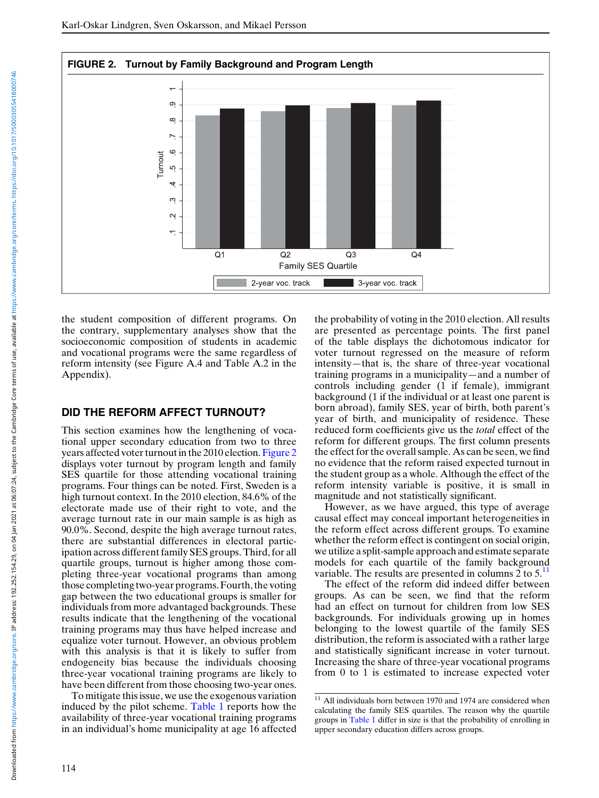

the student composition of different programs. On the contrary, supplementary analyses show that the socioeconomic composition of students in academic and vocational programs were the same regardless of reform intensity (see Figure A.4 and Table A.2 in the Appendix).

## DID THE REFORM AFFECT TURNOUT?

This section examines how the lengthening of vocational upper secondary education from two to three years affected voter turnout in the 2010 election. Figure 2 displays voter turnout by program length and family SES quartile for those attending vocational training programs. Four things can be noted. First, Sweden is a high turnout context. In the 2010 election, 84.6% of the electorate made use of their right to vote, and the average turnout rate in our main sample is as high as 90.0%. Second, despite the high average turnout rates, there are substantial differences in electoral participation across different family SES groups. Third, for all quartile groups, turnout is higher among those completing three-year vocational programs than among those completing two-year programs. Fourth, the voting gap between the two educational groups is smaller for individuals from more advantaged backgrounds. These results indicate that the lengthening of the vocational training programs may thus have helped increase and equalize voter turnout. However, an obvious problem with this analysis is that it is likely to suffer from endogeneity bias because the individuals choosing three-year vocational training programs are likely to have been different from those choosing two-year ones.

To mitigate this issue, we use the exogenous variation induced by the pilot scheme. [Table 1](#page-7-0) reports how the availability of three-year vocational training programs in an individual's home municipality at age 16 affected

the probability of voting in the 2010 election. All results are presented as percentage points. The first panel of the table displays the dichotomous indicator for voter turnout regressed on the measure of reform intensity—that is, the share of three-year vocational training programs in a municipality—and a number of controls including gender (1 if female), immigrant background (1 if the individual or at least one parent is born abroad), family SES, year of birth, both parent's year of birth, and municipality of residence. These reduced form coefficients give us the total effect of the reform for different groups. The first column presents the effect for the overall sample. As can be seen, we find no evidence that the reform raised expected turnout in the student group as a whole. Although the effect of the reform intensity variable is positive, it is small in magnitude and not statistically significant.

However, as we have argued, this type of average causal effect may conceal important heterogeneities in the reform effect across different groups. To examine whether the reform effect is contingent on social origin, we utilize a split-sample approach and estimate separate models for each quartile of the family background variable. The results are presented in columns 2 to  $5<sup>11</sup>$ 

The effect of the reform did indeed differ between groups. As can be seen, we find that the reform had an effect on turnout for children from low SES backgrounds. For individuals growing up in homes belonging to the lowest quartile of the family SES distribution, the reform is associated with a rather large and statistically significant increase in voter turnout. Increasing the share of three-year vocational programs from 0 to 1 is estimated to increase expected voter

 $11$  All individuals born between 1970 and 1974 are considered when calculating the family SES quartiles. The reason why the quartile groups in [Table 1](#page-7-0) differ in size is that the probability of enrolling in upper secondary education differs across groups.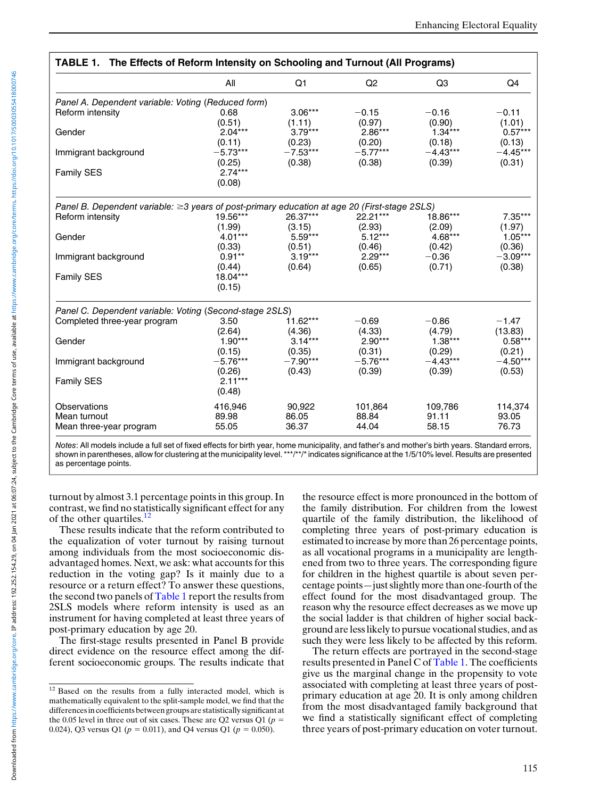|                                                                                              | All        | Q1         | Q2         | Q3         | Q4         |
|----------------------------------------------------------------------------------------------|------------|------------|------------|------------|------------|
| Panel A. Dependent variable: Voting (Reduced form)                                           |            |            |            |            |            |
| Reform intensity                                                                             | 0.68       | $3.06***$  | $-0.15$    | $-0.16$    | $-0.11$    |
|                                                                                              | (0.51)     | (1.11)     | (0.97)     | (0.90)     | (1.01)     |
| Gender                                                                                       | $2.04***$  | $3.79***$  | $2.86***$  | $1.34***$  | $0.57***$  |
|                                                                                              | (0.11)     | (0.23)     | (0.20)     | (0.18)     | (0.13)     |
| Immigrant background                                                                         | $-5.73***$ | $-7.53***$ | $-5.77***$ | $-4.43***$ | $-4.45***$ |
|                                                                                              | (0.25)     | (0.38)     | (0.38)     | (0.39)     | (0.31)     |
| <b>Family SES</b>                                                                            | $2.74***$  |            |            |            |            |
|                                                                                              | (0.08)     |            |            |            |            |
| Panel B. Dependent variable: ≥3 years of post-primary education at age 20 (First-stage 2SLS) |            |            |            |            |            |
| Reform intensity                                                                             | 19.56***   | 26.37***   | 22.21***   | 18.86***   | 7.35***    |
|                                                                                              | (1.99)     | (3.15)     | (2.93)     | (2.09)     | (1.97)     |
| Gender                                                                                       | $4.01***$  | $5.59***$  | $5.12***$  | $4.68***$  | $1.05***$  |
|                                                                                              | (0.33)     | (0.51)     | (0.46)     | (0.42)     | (0.36)     |
| Immigrant background                                                                         | $0.91**$   | $3.19***$  | $2.29***$  | $-0.36$    | $-3.09***$ |
|                                                                                              | (0.44)     | (0.64)     | (0.65)     | (0.71)     | (0.38)     |
| <b>Family SES</b>                                                                            | 18.04***   |            |            |            |            |
|                                                                                              | (0.15)     |            |            |            |            |
| Panel C. Dependent variable: Voting (Second-stage 2SLS)                                      |            |            |            |            |            |
| Completed three-year program                                                                 | 3.50       | 11.62***   | $-0.69$    | $-0.86$    | $-1.47$    |
|                                                                                              | (2.64)     | (4.36)     | (4.33)     | (4.79)     | (13.83)    |
| Gender                                                                                       | $1.90***$  | $3.14***$  | $2.90***$  | $1.38***$  | $0.58***$  |
|                                                                                              | (0.15)     | (0.35)     | (0.31)     | (0.29)     | (0.21)     |
| Immigrant background                                                                         | $-5.76***$ | $-7.90***$ | $-5.76***$ | $-4.43***$ | $-4.50***$ |
|                                                                                              | (0.26)     | (0.43)     | (0.39)     | (0.39)     | (0.53)     |
| <b>Family SES</b>                                                                            | $2.11***$  |            |            |            |            |
|                                                                                              | (0.48)     |            |            |            |            |
| Observations                                                                                 | 416.946    | 90.922     | 101,864    | 109,786    | 114,374    |
| Mean turnout                                                                                 | 89.98      | 86.05      | 88.84      | 91.11      | 93.05      |
| Mean three-year program                                                                      | 55.05      | 36.37      | 44.04      | 58.15      | 76.73      |

## <span id="page-7-0"></span>TABLE 1. The Effects of Reform Intensity on Schooling and Turnout (All Programs)

Notes: All models include a full set of fixed effects for birth year, home municipality, and father's and mother's birth years. Standard errors, shown in parentheses, allow for clustering at the municipality level. \*\*\*/\*\*/\* indicates significance at the 1/5/10% level. Results are presented as percentage points.

turnout by almost 3.1 percentage points in this group. In contrast, we find no statistically significant effect for any of the other quartiles. $^{12}$ 

These results indicate that the reform contributed to the equalization of voter turnout by raising turnout among individuals from the most socioeconomic disadvantaged homes. Next, we ask: what accounts for this reduction in the voting gap? Is it mainly due to a resource or a return effect? To answer these questions, the second two panels of Table 1 report the results from 2SLS models where reform intensity is used as an instrument for having completed at least three years of post-primary education by age 20.

The first-stage results presented in Panel B provide direct evidence on the resource effect among the different socioeconomic groups. The results indicate that

the resource effect is more pronounced in the bottom of the family distribution. For children from the lowest quartile of the family distribution, the likelihood of completing three years of post-primary education is estimated to increase by more than 26 percentage points, as all vocational programs in a municipality are lengthened from two to three years. The corresponding figure for children in the highest quartile is about seven percentage points—just slightly more than one-fourth of the effect found for the most disadvantaged group. The reason why the resource effect decreases as we move up the social ladder is that children of higher social background are less likely to pursue vocational studies, and as such they were less likely to be affected by this reform.

The return effects are portrayed in the second-stage results presented in Panel C of Table 1. The coefficients give us the marginal change in the propensity to vote associated with completing at least three years of postprimary education at age 20. It is only among children from the most disadvantaged family background that we find a statistically significant effect of completing three years of post-primary education on voter turnout.

<sup>&</sup>lt;sup>12</sup> Based on the results from a fully interacted model, which is mathematically equivalent to the split-sample model, we find that the differencesin coefficients between groups are statistically significant at the 0.05 level in three out of six cases. These are Q2 versus Q1 ( $p =$ 0.024), Q3 versus Q1 ( $p = 0.011$ ), and Q4 versus Q1 ( $p = 0.050$ ).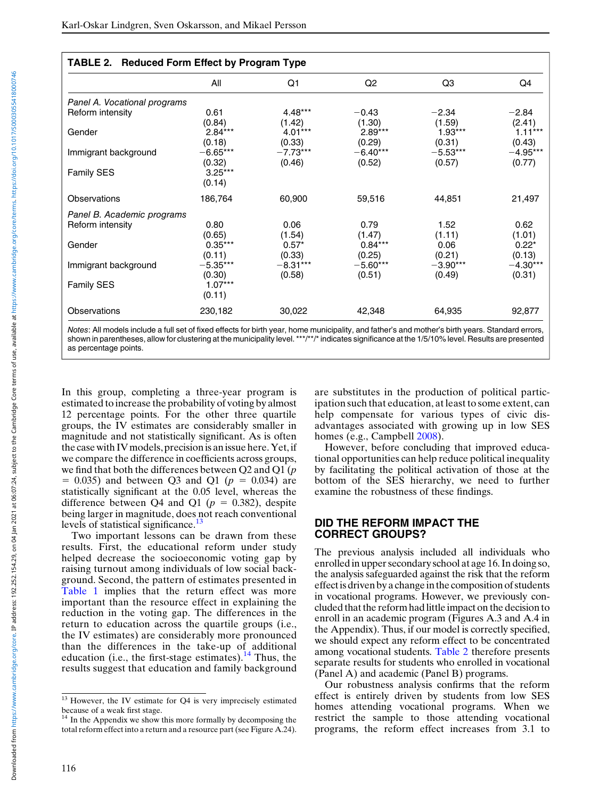|                              | All                  | Q1                   | Q2                   | Q3                   | Q4                   |
|------------------------------|----------------------|----------------------|----------------------|----------------------|----------------------|
| Panel A. Vocational programs |                      |                      |                      |                      |                      |
| Reform intensity             | 0.61<br>(0.84)       | $4.48***$<br>(1.42)  | $-0.43$<br>(1.30)    | $-2.34$<br>(1.59)    | $-2.84$<br>(2.41)    |
| Gender                       | $2.84***$<br>(0.18)  | $4.01***$<br>(0.33)  | $2.89***$<br>(0.29)  | $1.93***$<br>(0.31)  | $1.11***$<br>(0.43)  |
| Immigrant background         | $-6.65***$<br>(0.32) | $-7.73***$<br>(0.46) | $-6.40***$<br>(0.52) | $-5.53***$<br>(0.57) | $-4.95***$<br>(0.77) |
| <b>Family SES</b>            | $3.25***$<br>(0.14)  |                      |                      |                      |                      |
| Observations                 | 186,764              | 60,900               | 59,516               | 44,851               | 21,497               |
| Panel B. Academic programs   |                      |                      |                      |                      |                      |
| Reform intensity             | 0.80<br>(0.65)       | 0.06<br>(1.54)       | 0.79<br>(1.47)       | 1.52<br>(1.11)       | 0.62<br>(1.01)       |
| Gender                       | $0.35***$<br>(0.11)  | $0.57*$<br>(0.33)    | $0.84***$<br>(0.25)  | 0.06<br>(0.21)       | $0.22*$<br>(0.13)    |
| Immigrant background         | $-5.35***$<br>(0.30) | $-8.31***$<br>(0.58) | $-5.60***$<br>(0.51) | $-3.90***$<br>(0.49) | $-4.30***$<br>(0.31) |
| <b>Family SES</b>            | $1.07***$<br>(0.11)  |                      |                      |                      |                      |
| Observations                 | 230,182              | 30,022               | 42,348               | 64,935               | 92,877               |

Notes: All models include a full set of fixed effects for birth year, home municipality, and father's and mother's birth years. Standard errors, shown in parentheses, allow for clustering at the municipality level. \*\*\*/\*\*/\* indicates significance at the 1/5/10% level. Results are presented as percentage points.

In this group, completing a three-year program is estimated to increase the probability of voting by almost 12 percentage points. For the other three quartile groups, the IV estimates are considerably smaller in magnitude and not statistically significant. As is often the case with IVmodels, precision is an issue here. Yet, if we compare the difference in coefficients across groups, we find that both the differences between  $Q2$  and  $Q1$  (p  $= 0.035$ ) and between Q3 and Q1 ( $p = 0.034$ ) are statistically significant at the 0.05 level, whereas the difference between Q4 and Q1 ( $p = 0.382$ ), despite being larger in magnitude, does not reach conventional levels of statistical significance.<sup>13</sup>

Two important lessons can be drawn from these results. First, the educational reform under study helped decrease the socioeconomic voting gap by raising turnout among individuals of low social background. Second, the pattern of estimates presented in [Table 1](#page-7-0) implies that the return effect was more important than the resource effect in explaining the reduction in the voting gap. The differences in the return to education across the quartile groups (i.e., the IV estimates) are considerably more pronounced than the differences in the take-up of additional education (i.e., the first-stage estimates).<sup>14</sup> Thus, the results suggest that education and family background

are substitutes in the production of political participation such that education, at least to some extent, can help compensate for various types of civic disadvantages associated with growing up in low SES homes (e.g., Campbell [2008\)](#page-14-0).

However, before concluding that improved educational opportunities can help reduce political inequality by facilitating the political activation of those at the bottom of the SES hierarchy, we need to further examine the robustness of these findings.

## DID THE REFORM IMPACT THE CORRECT GROUPS?

The previous analysis included all individuals who enrolled in upper secondary school at age 16. In doing so, the analysis safeguarded against the risk that the reform effect is driven by a change in the composition of students in vocational programs. However, we previously concluded that the reform had little impact on the decision to enroll in an academic program (Figures A.3 and A.4 in the Appendix). Thus, if our model is correctly specified, we should expect any reform effect to be concentrated among vocational students. Table 2 therefore presents separate results for students who enrolled in vocational (Panel A) and academic (Panel B) programs.

Our robustness analysis confirms that the reform effect is entirely driven by students from low SES homes attending vocational programs. When we restrict the sample to those attending vocational programs, the reform effect increases from 3.1 to

<sup>&</sup>lt;sup>13</sup> However, the IV estimate for Q4 is very imprecisely estimated

because of a weak first stage.<br><sup>14</sup> In the Appendix we show this more formally by decomposing the total reform effect into a return and a resource part (see Figure A.24).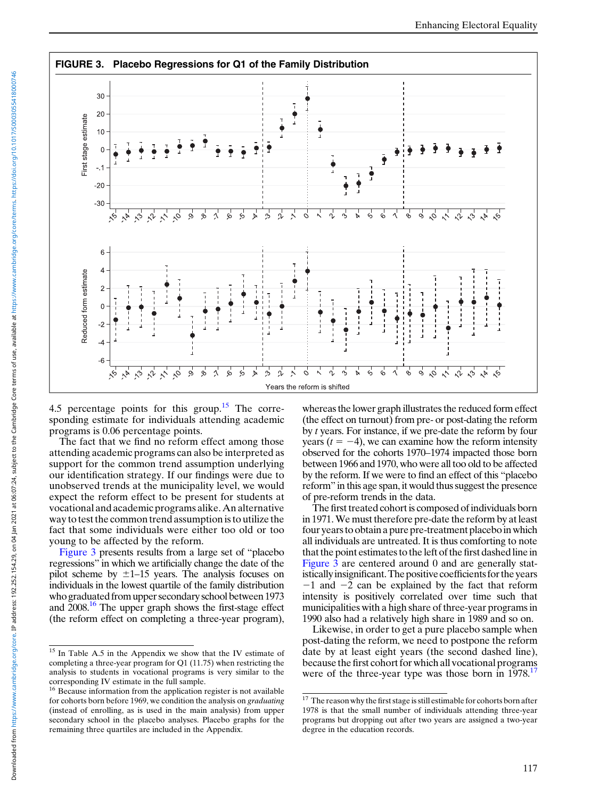

4.5 percentage points for this group.<sup>15</sup> The corresponding estimate for individuals attending academic programs is 0.06 percentage points.

The fact that we find no reform effect among those attending academic programs can also be interpreted as support for the common trend assumption underlying our identification strategy. If our findings were due to unobserved trends at the municipality level, we would expect the reform effect to be present for students at vocational and academic programs alike.An alternative way to test the common trend assumption is to utilize the fact that some individuals were either too old or too young to be affected by the reform.

Figure 3 presents results from a large set of "placebo regressions" in which we artificially change the date of the pilot scheme by  $\pm$ 1–15 years. The analysis focuses on individuals in the lowest quartile of the family distribution who graduated from upper secondary school between 1973 and 2008.<sup>16</sup> The upper graph shows the first-stage effect (the reform effect on completing a three-year program),

whereas the lower graph illustrates the reduced form effect (the effect on turnout) from pre- or post-dating the reform by t years. For instance, if we pre-date the reform by four years  $(t = -4)$ , we can examine how the reform intensity observed for the cohorts 1970–1974 impacted those born between 1966 and 1970, who were all too old to be affected by the reform. If we were to find an effect of this "placebo reform" in this age span, it would thus suggest the presence of pre-reform trends in the data.

The first treated cohort is composed of individuals born in 1971.We must therefore pre-date the reform by at least four years to obtain a pure pre-treatment placebo in which all individuals are untreated. It is thus comforting to note that the point estimates to the left of the first dashed line in Figure 3 are centered around 0 and are generally statistically insignificant. The positive coefficients for the years  $-1$  and  $-2$  can be explained by the fact that reform intensity is positively correlated over time such that municipalities with a high share of three-year programs in 1990 also had a relatively high share in 1989 and so on.

Likewise, in order to get a pure placebo sample when post-dating the reform, we need to postpone the reform date by at least eight years (the second dashed line), because the first cohort for which all vocational programs were of the three-year type was those born in  $1978$ .<sup>17</sup>

<sup>&</sup>lt;sup>15</sup> In Table A.5 in the Appendix we show that the IV estimate of completing a three-year program for Q1 (11.75) when restricting the analysis to students in vocational programs is very similar to the corresponding IV estimate in the full sample.

 $16$  Because information from the application register is not available for cohorts born before 1969, we condition the analysis on graduating (instead of enrolling, as is used in the main analysis) from upper secondary school in the placebo analyses. Placebo graphs for the remaining three quartiles are included in the Appendix.

<sup>&</sup>lt;sup>17</sup> The reason why the first stage is still estimable for cohorts born after 1978 is that the small number of individuals attending three-year programs but dropping out after two years are assigned a two-year degree in the education records.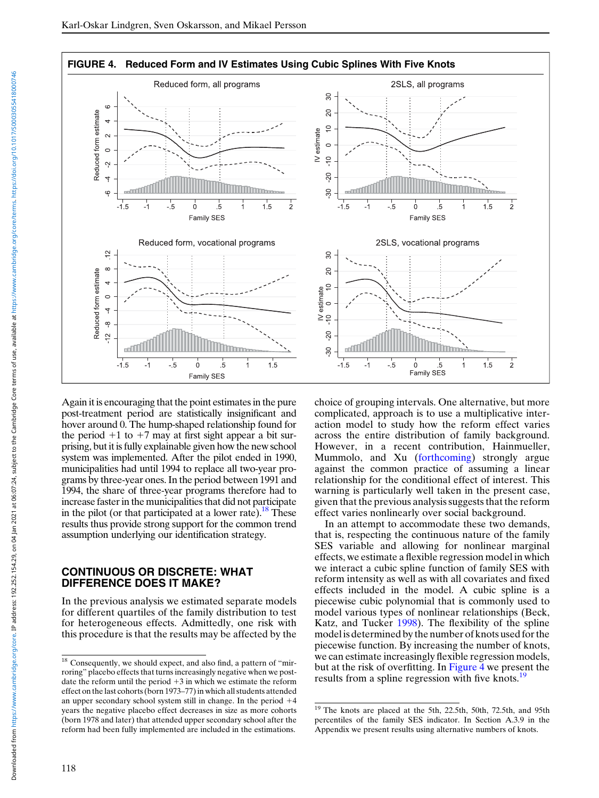

<span id="page-10-0"></span>FIGURE 4. Reduced Form and IV Estimates Using Cubic Splines With Five Knots

Again it is encouraging that the point estimates in the pure post-treatment period are statistically insignificant and hover around 0. The hump-shaped relationship found for the period  $+1$  to  $+7$  may at first sight appear a bit surprising, but it is fully explainable given how the new school system was implemented. After the pilot ended in 1990, municipalities had until 1994 to replace all two-year programs by three-year ones. In the period between 1991 and 1994, the share of three-year programs therefore had to increase faster in the municipalities that did not participate in the pilot (or that participated at a lower rate).<sup>18</sup> These results thus provide strong support for the common trend assumption underlying our identification strategy.

## CONTINUOUS OR DISCRETE: WHAT DIFFERENCE DOES IT MAKE?

In the previous analysis we estimated separate models for different quartiles of the family distribution to test for heterogeneous effects. Admittedly, one risk with this procedure is that the results may be affected by the

choice of grouping intervals. One alternative, but more complicated, approach is to use a multiplicative interaction model to study how the reform effect varies across the entire distribution of family background. However, in a recent contribution, Hainmueller, Mummolo, and Xu ([forthcoming\)](#page-14-0) strongly argue against the common practice of assuming a linear relationship for the conditional effect of interest. This warning is particularly well taken in the present case, given that the previous analysis suggests that the reform effect varies nonlinearly over social background.

In an attempt to accommodate these two demands, that is, respecting the continuous nature of the family SES variable and allowing for nonlinear marginal effects, we estimate a flexible regression model in which we interact a cubic spline function of family SES with reform intensity as well as with all covariates and fixed effects included in the model. A cubic spline is a piecewise cubic polynomial that is commonly used to model various types of nonlinear relationships (Beck, Katz, and Tucker [1998\)](#page-13-0). The flexibility of the spline model is determined by the number of knots used for the piecewise function. By increasing the number of knots, we can estimate increasingly flexible regression models, but at the risk of overfitting. In Figure 4 we present the results from a spline regression with five knots.<sup>1</sup>

<sup>&</sup>lt;sup>18</sup> Consequently, we should expect, and also find, a pattern of "mirroring" placebo effects that turns increasingly negative when we postdate the reform until the period  $+3$  in which we estimate the reform effect on the last cohorts (born 1973–77) in which all students attended an upper secondary school system still in change. In the period  $+4$ years the negative placebo effect decreases in size as more cohorts (born 1978 and later) that attended upper secondary school after the reform had been fully implemented are included in the estimations.

 $19$  The knots are placed at the 5th, 22.5th, 50th, 72.5th, and 95th percentiles of the family SES indicator. In Section A.3.9 in the Appendix we present results using alternative numbers of knots.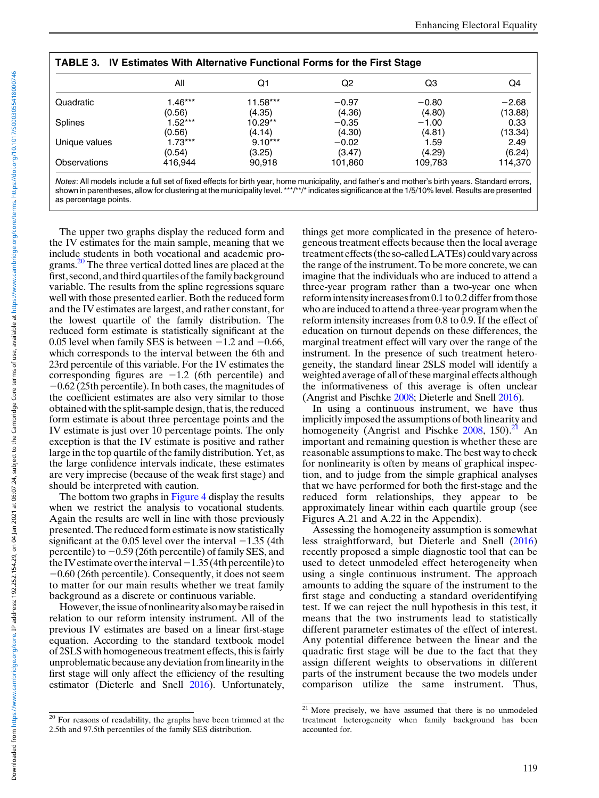|               | All       | Q1        | Q2      | Q3      | Q4      |
|---------------|-----------|-----------|---------|---------|---------|
| Quadratic     | $1.46***$ | 11.58***  | $-0.97$ | $-0.80$ | $-2.68$ |
|               | (0.56)    | (4.35)    | (4.36)  | (4.80)  | (13.88) |
| Splines       | $1.52***$ | 10.29**   | $-0.35$ | $-1.00$ | 0.33    |
|               | (0.56)    | (4.14)    | (4.30)  | (4.81)  | (13.34) |
| Unique values | $1.73***$ | $9.10***$ | $-0.02$ | 1.59    | 2.49    |
|               | (0.54)    | (3.25)    | (3.47)  | (4.29)  | (6.24)  |
| Observations  | 416,944   | 90,918    | 101,860 | 109,783 | 114,370 |

<span id="page-11-0"></span>

|  | TABLE 3. IV Estimates With Alternative Functional Forms for the First Stage |
|--|-----------------------------------------------------------------------------|
|  |                                                                             |

Notes: All models include a full set of fixed effects for birth year, home municipality, and father's and mother's birth years. Standard errors, shown in parentheses, allow for clustering at the municipality level. \*\*\*/\*\*/\* indicates significance at the 1/5/10% level. Results are presented as percentage points.

The upper two graphs display the reduced form and the IV estimates for the main sample, meaning that we include students in both vocational and academic programs.<sup>20</sup> The three vertical dotted lines are placed at the first, second, and third quartiles of the family background variable. The results from the spline regressions square well with those presented earlier. Both the reduced form and the IV estimates are largest, and rather constant, for the lowest quartile of the family distribution. The reduced form estimate is statistically significant at the 0.05 level when family SES is between  $-1.2$  and  $-0.66$ , which corresponds to the interval between the 6th and 23rd percentile of this variable. For the IV estimates the corresponding figures are  $-1.2$  (6th percentile) and  $-0.62$  (25th percentile). In both cases, the magnitudes of the coefficient estimates are also very similar to those obtained with the split-sample design, thatis, the reduced form estimate is about three percentage points and the IV estimate is just over 10 percentage points. The only exception is that the IV estimate is positive and rather large in the top quartile of the family distribution. Yet, as the large confidence intervals indicate, these estimates are very imprecise (because of the weak first stage) and should be interpreted with caution.

The bottom two graphs in [Figure 4](#page-10-0) display the results when we restrict the analysis to vocational students. Again the results are well in line with those previously presented. The reduced form estimate is now statistically significant at the 0.05 level over the interval  $-1.35$  (4th percentile) to  $-0.59$  (26th percentile) of family SES, and the IV estimate over the interval  $-1.35$  (4th percentile) to  $-0.60$  (26th percentile). Consequently, it does not seem to matter for our main results whether we treat family background as a discrete or continuous variable.

However, the issue of nonlinearity also may be raised in relation to our reform intensity instrument. All of the previous IV estimates are based on a linear first-stage equation. According to the standard textbook model of 2SLS with homogeneous treatment effects, this is fairly unproblematic because any deviation fromlinearityin the first stage will only affect the efficiency of the resulting estimator (Dieterle and Snell [2016](#page-14-0)). Unfortunately,

things get more complicated in the presence of heterogeneous treatment effects because then the local average treatment effects (the so-calledLATEs) could vary across the range of the instrument. To be more concrete, we can imagine that the individuals who are induced to attend a three-year program rather than a two-year one when reformintensityincreases from 0.1 to 0.2 differ from those who are induced to attend a three-year program when the reform intensity increases from 0.8 to 0.9. If the effect of education on turnout depends on these differences, the marginal treatment effect will vary over the range of the instrument. In the presence of such treatment heterogeneity, the standard linear 2SLS model will identify a weighted average of all of these marginal effects although the informativeness of this average is often unclear (Angrist and Pischke [2008](#page-13-0); Dieterle and Snell [2016\)](#page-14-0).

In using a continuous instrument, we have thus implicitly imposed the assumptions of both linearity and homogeneity (Angrist and Pischke  $2008$ , 150).<sup>21</sup> An important and remaining question is whether these are reasonable assumptions to make. The best way to check for nonlinearity is often by means of graphical inspection, and to judge from the simple graphical analyses that we have performed for both the first-stage and the reduced form relationships, they appear to be approximately linear within each quartile group (see Figures A.21 and A.22 in the Appendix).

Assessing the homogeneity assumption is somewhat less straightforward, but Dieterle and Snell [\(2016](#page-14-0)) recently proposed a simple diagnostic tool that can be used to detect unmodeled effect heterogeneity when using a single continuous instrument. The approach amounts to adding the square of the instrument to the first stage and conducting a standard overidentifying test. If we can reject the null hypothesis in this test, it means that the two instruments lead to statistically different parameter estimates of the effect of interest. Any potential difference between the linear and the quadratic first stage will be due to the fact that they assign different weights to observations in different parts of the instrument because the two models under comparison utilize the same instrument. Thus,

<sup>&</sup>lt;sup>20</sup> For reasons of readability, the graphs have been trimmed at the 2.5th and 97.5th percentiles of the family SES distribution.

<sup>&</sup>lt;sup>21</sup> More precisely, we have assumed that there is no unmodeled treatment heterogeneity when family background has been accounted for.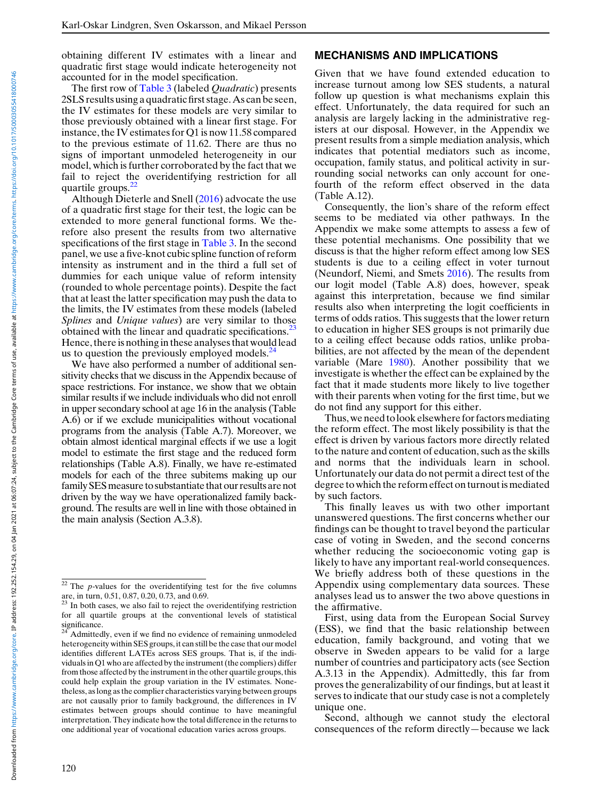obtaining different IV estimates with a linear and quadratic first stage would indicate heterogeneity not accounted for in the model specification.

The first row of [Table 3](#page-11-0) (labeled *Quadratic*) presents 2SLS results using a quadraticfirst stage. As can be seen, the IV estimates for these models are very similar to those previously obtained with a linear first stage. For instance, the IV estimates for Q1 is now 11.58 compared to the previous estimate of 11.62. There are thus no signs of important unmodeled heterogeneity in our model, which is further corroborated by the fact that we fail to reject the overidentifying restriction for all quartile groups. $22$ 

Although Dieterle and Snell [\(2016](#page-14-0)) advocate the use of a quadratic first stage for their test, the logic can be extended to more general functional forms. We therefore also present the results from two alternative specifications of the first stage in [Table 3](#page-11-0). In the second panel, we use a five-knot cubic spline function of reform intensity as instrument and in the third a full set of dummies for each unique value of reform intensity (rounded to whole percentage points). Despite the fact that at least the latter specification may push the data to the limits, the IV estimates from these models (labeled Splines and Unique values) are very similar to those obtained with the linear and quadratic specifications.<sup>23</sup> Hence, there is nothing in these analyses that would lead us to question the previously employed models. $<sup>2</sup>$ </sup>

We have also performed a number of additional sensitivity checks that we discuss in the Appendix because of space restrictions. For instance, we show that we obtain similar results if we include individuals who did not enroll in upper secondary school at age 16 in the analysis (Table A.6) or if we exclude municipalities without vocational programs from the analysis (Table A.7). Moreover, we obtain almost identical marginal effects if we use a logit model to estimate the first stage and the reduced form relationships (Table A.8). Finally, we have re-estimated models for each of the three subitems making up our family SES measure to substantiate that our results are not driven by the way we have operationalized family background. The results are well in line with those obtained in the main analysis (Section A.3.8).

#### MECHANISMS AND IMPLICATIONS

Given that we have found extended education to increase turnout among low SES students, a natural follow up question is what mechanisms explain this effect. Unfortunately, the data required for such an analysis are largely lacking in the administrative registers at our disposal. However, in the Appendix we present results from a simple mediation analysis, which indicates that potential mediators such as income, occupation, family status, and political activity in surrounding social networks can only account for onefourth of the reform effect observed in the data (Table A.12).

Consequently, the lion's share of the reform effect seems to be mediated via other pathways. In the Appendix we make some attempts to assess a few of these potential mechanisms. One possibility that we discuss is that the higher reform effect among low SES students is due to a ceiling effect in voter turnout (Neundorf, Niemi, and Smets [2016](#page-14-0)). The results from our logit model (Table A.8) does, however, speak against this interpretation, because we find similar results also when interpreting the logit coefficients in terms of odds ratios. This suggests that the lower return to education in higher SES groups is not primarily due to a ceiling effect because odds ratios, unlike probabilities, are not affected by the mean of the dependent variable (Mare [1980\)](#page-14-0). Another possibility that we investigate is whether the effect can be explained by the fact that it made students more likely to live together with their parents when voting for the first time, but we do not find any support for this either.

Thus, we need to look elsewhere for factors mediating the reform effect. The most likely possibility is that the effect is driven by various factors more directly related to the nature and content of education, such as the skills and norms that the individuals learn in school. Unfortunately our data do not permit a direct test of the degree to which the reform effect on turnout is mediated by such factors.

This finally leaves us with two other important unanswered questions. The first concerns whether our findings can be thought to travel beyond the particular case of voting in Sweden, and the second concerns whether reducing the socioeconomic voting gap is likely to have any important real-world consequences. We briefly address both of these questions in the Appendix using complementary data sources. These analyses lead us to answer the two above questions in the affirmative.

First, using data from the European Social Survey (ESS), we find that the basic relationship between education, family background, and voting that we observe in Sweden appears to be valid for a large number of countries and participatory acts (see Section A.3.13 in the Appendix). Admittedly, this far from proves the generalizability of our findings, but at least it serves to indicate that our study case is not a completely unique one.

Second, although we cannot study the electoral consequences of the reform directly—because we lack

 $22$  The *p*-values for the overidentifying test for the five columns are, in turn, 0.51, 0.87, 0.20, 0.73, and 0.69.

<sup>&</sup>lt;sup>23</sup> In both cases, we also fail to reject the overidentifying restriction for all quartile groups at the conventional levels of statistical significance.

Admittedly, even if we find no evidence of remaining unmodeled heterogeneity within SES groups, it can still be the case that our model identifies different LATEs across SES groups. That is, if the individuals in Q1 who are affected by the instrument (the compliers) differ from those affected by the instrument in the other quartile groups, this could help explain the group variation in the IV estimates. Nonetheless, as long as the complier characteristics varying between groups are not causally prior to family background, the differences in IV estimates between groups should continue to have meaningful interpretation. They indicate how the total difference in the returns to one additional year of vocational education varies across groups.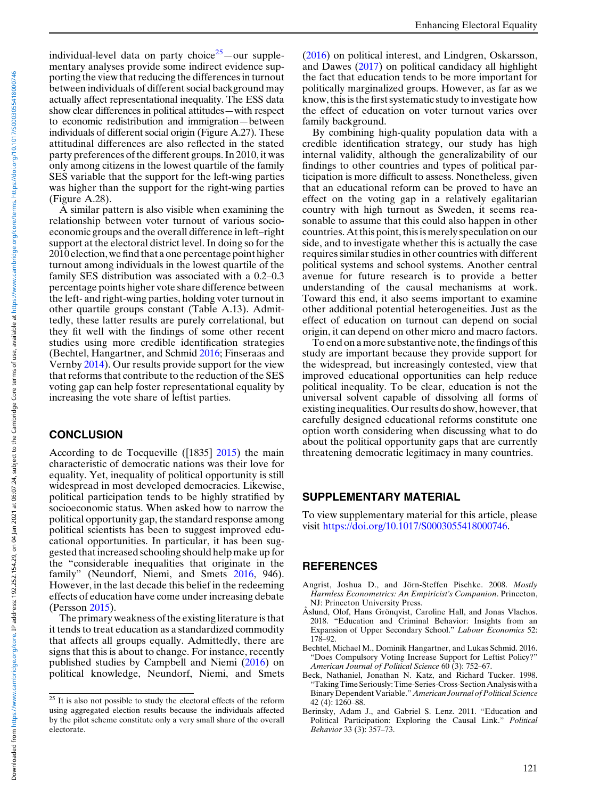<span id="page-13-0"></span>individual-level data on party choice<sup>25</sup> — our supplementary analyses provide some indirect evidence supporting the view that reducing the differences in turnout between individuals of different social background may actually affect representational inequality. The ESS data show clear differences in political attitudes—with respect to economic redistribution and immigration—between individuals of different social origin (Figure A.27). These attitudinal differences are also reflected in the stated party preferences of the different groups. In 2010, it was only among citizens in the lowest quartile of the family SES variable that the support for the left-wing parties was higher than the support for the right-wing parties (Figure A.28).

A similar pattern is also visible when examining the relationship between voter turnout of various socioeconomic groups and the overall difference in left–right support at the electoral district level. In doing so for the 2010 election, we find that a one percentage point higher turnout among individuals in the lowest quartile of the family SES distribution was associated with a 0.2–0.3 percentage points higher vote share difference between the left- and right-wing parties, holding voter turnout in other quartile groups constant (Table A.13). Admittedly, these latter results are purely correlational, but they fit well with the findings of some other recent studies using more credible identification strategies (Bechtel, Hangartner, and Schmid 2016; Finseraas and Vernby [2014](#page-14-0)). Our results provide support for the view that reforms that contribute to the reduction of the SES voting gap can help foster representational equality by increasing the vote share of leftist parties.

## **CONCLUSION**

According to de Tocqueville ([1835] [2015\)](#page-14-0) the main characteristic of democratic nations was their love for equality. Yet, inequality of political opportunity is still widespread in most developed democracies. Likewise, political participation tends to be highly stratified by socioeconomic status. When asked how to narrow the political opportunity gap, the standard response among political scientists has been to suggest improved educational opportunities. In particular, it has been suggested that increased schooling should help make up for the "considerable inequalities that originate in the family" (Neundorf, Niemi, and Smets [2016,](#page-14-0) 946). However, in the last decade this belief in the redeeming effects of education have come under increasing debate (Persson [2015](#page-14-0)).

The primary weakness of the existing literature is that it tends to treat education as a standardized commodity that affects all groups equally. Admittedly, there are signs that this is about to change. For instance, recently published studies by Campbell and Niemi [\(2016\)](#page-14-0) on political knowledge, Neundorf, Niemi, and Smets

([2016\)](#page-14-0) on political interest, and Lindgren, Oskarsson, and Dawes ([2017\)](#page-14-0) on political candidacy all highlight the fact that education tends to be more important for politically marginalized groups. However, as far as we know, this is the first systematic study to investigate how the effect of education on voter turnout varies over family background.

By combining high-quality population data with a credible identification strategy, our study has high internal validity, although the generalizability of our findings to other countries and types of political participation is more difficult to assess. Nonetheless, given that an educational reform can be proved to have an effect on the voting gap in a relatively egalitarian country with high turnout as Sweden, it seems reasonable to assume that this could also happen in other countries. At this point, this is merely speculation on our side, and to investigate whether this is actually the case requires similar studies in other countries with different political systems and school systems. Another central avenue for future research is to provide a better understanding of the causal mechanisms at work. Toward this end, it also seems important to examine other additional potential heterogeneities. Just as the effect of education on turnout can depend on social origin, it can depend on other micro and macro factors.

To end on a more substantive note, the findings of this study are important because they provide support for the widespread, but increasingly contested, view that improved educational opportunities can help reduce political inequality. To be clear, education is not the universal solvent capable of dissolving all forms of existing inequalities. Our results do show, however, that carefully designed educational reforms constitute one option worth considering when discussing what to do about the political opportunity gaps that are currently threatening democratic legitimacy in many countries.

## SUPPLEMENTARY MATERIAL

To view supplementary material for this article, please visit <https://doi.org/10.1017/S0003055418000746>.

## REFERENCES

- Angrist, Joshua D., and Jörn-Steffen Pischke. 2008. Mostly Harmless Econometrics: An Empiricist's Companion. Princeton, NJ: Princeton University Press.
- Aslund, Olof, Hans Grönqvist, Caroline Hall, and Jonas Vlachos. 2018. "Education and Criminal Behavior: Insights from an Expansion of Upper Secondary School." Labour Economics 52: 178–92.
- Bechtel, Michael M., Dominik Hangartner, and Lukas Schmid. 2016. "Does Compulsory Voting Increase Support for Leftist Policy?" American Journal of Political Science 60 (3): 752–67.
- Beck, Nathaniel, Jonathan N. Katz, and Richard Tucker. 1998. "TakingTime Seriously:Time-Series-Cross-SectionAnalysis with a Binary Dependent Variable." American Journal of Political Science 42 (4): 1260–88.
- Berinsky, Adam J., and Gabriel S. Lenz. 2011. "Education and Political Participation: Exploring the Causal Link." Political Behavior 33 (3): 357–73.

<sup>&</sup>lt;sup>25</sup> It is also not possible to study the electoral effects of the reform using aggregated election results because the individuals affected by the pilot scheme constitute only a very small share of the overall electorate.